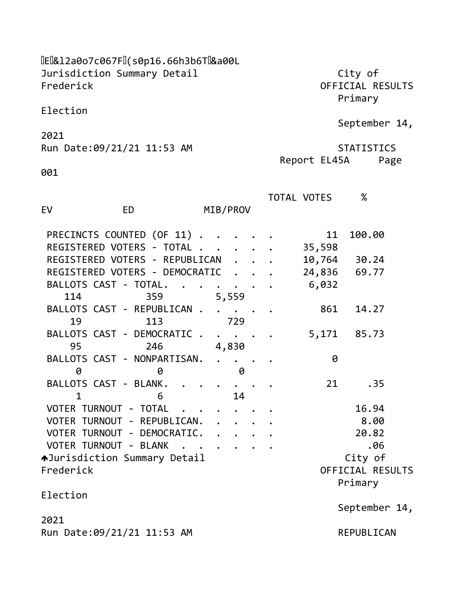[E|&12a0o7c067F|](s0p16.66h3b6T|&a00L Jurisdiction Summary Detail **City of** Frederick OFFICIAL RESULTS

Primary

Report EL45A Page

Election

September 14,

2021 Run Date:09/21/21 11:53 AM STATISTICS

001

| EV                             |           |     |                      |                      |                  |                                                    |  | TOTAL VOTES | $\%$          |  |
|--------------------------------|-----------|-----|----------------------|----------------------|------------------|----------------------------------------------------|--|-------------|---------------|--|
|                                | <b>ED</b> |     |                      |                      |                  | MIB/PROV                                           |  |             |               |  |
| PRECINCTS COUNTED (OF 11)      |           |     |                      |                      |                  |                                                    |  | 11          | 100.00        |  |
| REGISTERED VOTERS - TOTAL      |           |     |                      |                      |                  |                                                    |  | 35,598      |               |  |
| REGISTERED VOTERS - REPUBLICAN |           |     |                      |                      |                  |                                                    |  | 10,764      | 30.24         |  |
| REGISTERED VOTERS - DEMOCRATIC |           |     |                      |                      |                  |                                                    |  | 24,836      | 69.77         |  |
| BALLOTS CAST - TOTAL.          |           |     |                      |                      |                  | $\ddot{\bullet}$ $\ddot{\bullet}$                  |  | 6,032       |               |  |
| 114                            |           | 359 |                      |                      |                  | 5,559                                              |  |             |               |  |
| BALLOTS CAST - REPUBLICAN.     |           |     |                      |                      |                  |                                                    |  | 861         | 14.27         |  |
| 19                             |           | 113 |                      |                      |                  | 729                                                |  |             |               |  |
| BALLOTS CAST - DEMOCRATIC.     |           |     |                      |                      |                  | $\ddot{\bullet}$ $\ddot{\bullet}$ $\ddot{\bullet}$ |  | 5,171       | 85.73         |  |
| 95                             |           | 246 |                      |                      |                  | 4,830                                              |  |             |               |  |
| BALLOTS CAST - NONPARTISAN.    |           |     |                      |                      |                  | $\mathcal{L}(\mathbf{r})$ .                        |  | 0           |               |  |
| 0                              |           | 0   |                      |                      |                  | 0                                                  |  |             |               |  |
| BALLOTS CAST - BLANK.          |           |     |                      |                      |                  |                                                    |  | 21          | .35           |  |
| $\mathbf{1}$                   |           | 6   |                      |                      |                  | 14                                                 |  |             |               |  |
| VOTER TURNOUT - TOTAL          |           |     |                      |                      |                  |                                                    |  |             | 16.94         |  |
| VOTER TURNOUT - REPUBLICAN.    |           |     |                      |                      |                  |                                                    |  |             | 8.00          |  |
| VOTER TURNOUT - DEMOCRATIC.    |           |     |                      |                      |                  |                                                    |  |             | 20.82         |  |
| VOTER TURNOUT - BLANK          |           |     | $\ddot{\phantom{a}}$ | $\ddot{\phantom{1}}$ |                  |                                                    |  |             | .06           |  |
| AJurisdiction Summary Detail   |           |     |                      |                      |                  |                                                    |  |             | City of       |  |
| Frederick                      |           |     |                      |                      | OFFICIAL RESULTS |                                                    |  |             |               |  |
|                                |           |     |                      |                      |                  |                                                    |  |             | Primary       |  |
| Election                       |           |     |                      |                      |                  |                                                    |  |             |               |  |
|                                |           |     |                      |                      |                  |                                                    |  |             | September 14, |  |
| 2021                           |           |     |                      |                      |                  |                                                    |  |             |               |  |
| Run Date: 09/21/21 11:53 AM    |           |     |                      |                      |                  |                                                    |  | REPUBLICAN  |               |  |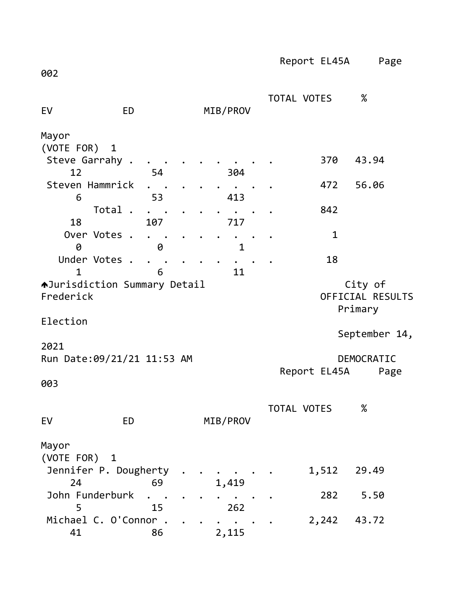Report EL45A Page 002 TOTAL VOTES % EV ED MIB/PROV Mayor (VOTE FOR) 1 Steve Garrahy . . . . . . . . . . 370 43.94 12 54 304 Steven Hammrick . . . . . . . . . 472 56.06 6 53 413 Total . . . . . . . . . 842 18 107 717 Over Votes . . . . . . . . . . 1 0 0 1 Under Votes . . . . . . . . . . 18 1 6 11 AJurisdiction Summary Detail **City of** Frederick OFFICIAL RESULTS Primary Election September 14, 2021 Run Date:09/21/21 11:53 AM DEMOCRATIC Report EL45A Page 003 TOTAL VOTES % EV ED MIB/PROV Mayor (VOTE FOR) 1 Jennifer P. Dougherty . . . . . . 1,512 29.49 24 69 1,419 John Funderburk . . . . . . . . . 282 5.50 5 15 262 Michael C. O'Connor . . . . . . . . 2,242 43.72 41 86 2,115